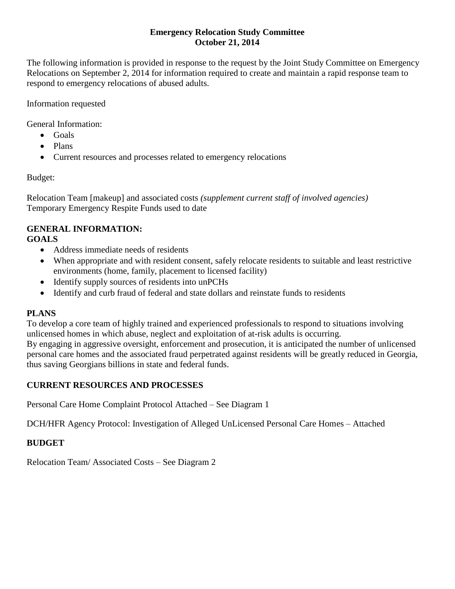### **Emergency Relocation Study Committee October 21, 2014**

The following information is provided in response to the request by the Joint Study Committee on Emergency Relocations on September 2, 2014 for information required to create and maintain a rapid response team to respond to emergency relocations of abused adults.

Information requested

General Information:

- Goals
- Plans
- Current resources and processes related to emergency relocations

Budget:

Relocation Team [makeup] and associated costs *(supplement current staff of involved agencies)* Temporary Emergency Respite Funds used to date

### **GENERAL INFORMATION: GOALS**

- Address immediate needs of residents
- When appropriate and with resident consent, safely relocate residents to suitable and least restrictive environments (home, family, placement to licensed facility)
- Identify supply sources of residents into unPCHs
- Identify and curb fraud of federal and state dollars and reinstate funds to residents

# **PLANS**

To develop a core team of highly trained and experienced professionals to respond to situations involving unlicensed homes in which abuse, neglect and exploitation of at-risk adults is occurring. By engaging in aggressive oversight, enforcement and prosecution, it is anticipated the number of unlicensed personal care homes and the associated fraud perpetrated against residents will be greatly reduced in Georgia, thus saving Georgians billions in state and federal funds.

# **CURRENT RESOURCES AND PROCESSES**

Personal Care Home Complaint Protocol Attached – See Diagram 1

DCH/HFR Agency Protocol: Investigation of Alleged UnLicensed Personal Care Homes – Attached

# **BUDGET**

Relocation Team/ Associated Costs – See Diagram 2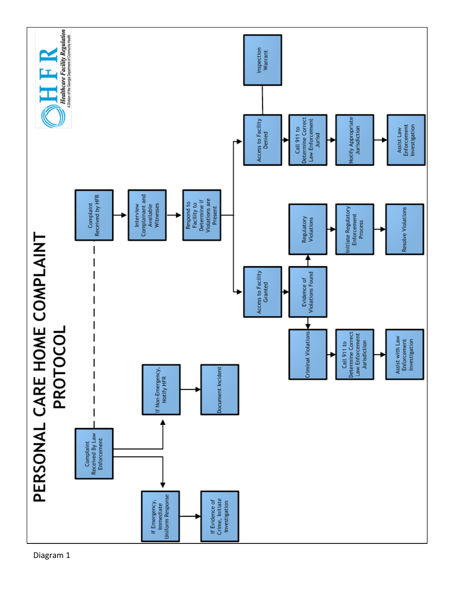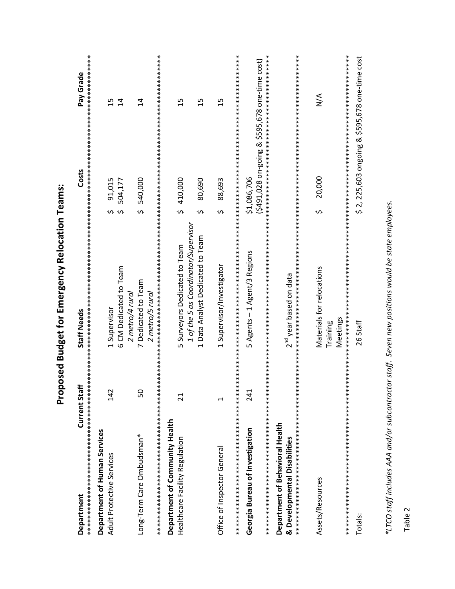| Department                                                       | Current Staff   | Staff Needs                                                                                               | Costs                                                         | Pay Grade            |
|------------------------------------------------------------------|-----------------|-----------------------------------------------------------------------------------------------------------|---------------------------------------------------------------|----------------------|
| Department of Human Services<br>Adult Protective Services        | 142             | 6 CM Dedicated to Team<br>1 Supervisor                                                                    | 91,015<br>504,177<br>ა ო                                      | 15<br>$\overline{4}$ |
| Long-Term Care Ombudsman*                                        | 50              | 7 Dedicated to Team<br>2 metro/4 rural<br>2 metro/5 rural                                                 | \$ 540,000                                                    | $\overline{4}$       |
| Department of Community Health<br>Healthcare Facility Regulation | $\overline{21}$ | 1 of the 5 as Coordinator/Supervisor<br>1 Data Analyst Dedicated to Team<br>5 Surveyors Dedicated to Team | \$410,000<br>80,690<br>$\mathfrak o$                          | 15<br>15             |
| Office of Inspector General                                      | H               | 1 Supervisor/Investigator                                                                                 | 88,693<br>ς.                                                  | $\overline{1}$       |
| Georgia Bureau of Investigation                                  | 241             | 5 Agents - 1 Agent/3 Regions                                                                              | (\$491,028 on-going & \$595,678 one-time cost)<br>\$1,086,706 |                      |
| Department of Behavioral Health<br>& Developmental Disabilities  |                 | $2^{\text{nd}}$ year based on data                                                                        |                                                               |                      |
| **************************************<br>Assets/Resources       |                 | Materials for relocations<br>Meetings<br>Training                                                         | 20,000<br>ς.                                                  | $\leq$               |
| Totals:                                                          |                 | 26 Staff                                                                                                  | \$ 2, 225,603 ongoing & \$595,678 one-time cost               |                      |

\*LTCO staff includes AAA and/or subcontractor staff. Seven new positions would be state employees.

Table 2

# Proposed Budget for Emergency Relocation Teams: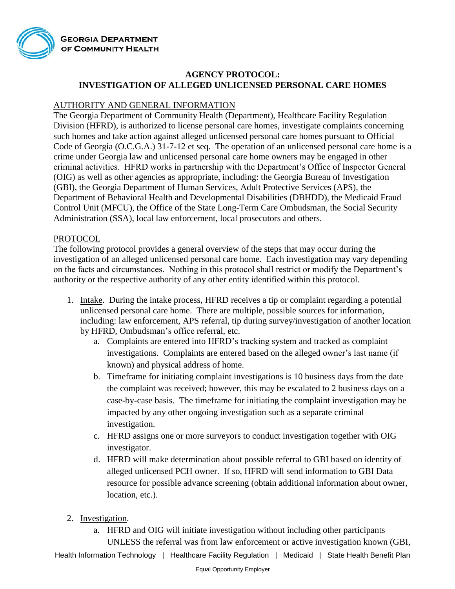

# **AGENCY PROTOCOL: INVESTIGATION OF ALLEGED UNLICENSED PERSONAL CARE HOMES**

## AUTHORITY AND GENERAL INFORMATION

The Georgia Department of Community Health (Department), Healthcare Facility Regulation Division (HFRD), is authorized to license personal care homes, investigate complaints concerning such homes and take action against alleged unlicensed personal care homes pursuant to Official Code of Georgia (O.C.G.A.) 31-7-12 et seq. The operation of an unlicensed personal care home is a crime under Georgia law and unlicensed personal care home owners may be engaged in other criminal activities. HFRD works in partnership with the Department's Office of Inspector General (OIG) as well as other agencies as appropriate, including: the Georgia Bureau of Investigation (GBI), the Georgia Department of Human Services, Adult Protective Services (APS), the Department of Behavioral Health and Developmental Disabilities (DBHDD), the Medicaid Fraud Control Unit (MFCU), the Office of the State Long-Term Care Ombudsman, the Social Security Administration (SSA), local law enforcement, local prosecutors and others.

### PROTOCOL

The following protocol provides a general overview of the steps that may occur during the investigation of an alleged unlicensed personal care home. Each investigation may vary depending on the facts and circumstances. Nothing in this protocol shall restrict or modify the Department's authority or the respective authority of any other entity identified within this protocol.

- 1. Intake. During the intake process, HFRD receives a tip or complaint regarding a potential unlicensed personal care home. There are multiple, possible sources for information, including: law enforcement, APS referral, tip during survey/investigation of another location by HFRD, Ombudsman's office referral, etc.
	- a. Complaints are entered into HFRD's tracking system and tracked as complaint investigations. Complaints are entered based on the alleged owner's last name (if known) and physical address of home.
	- b. Timeframe for initiating complaint investigations is 10 business days from the date the complaint was received; however, this may be escalated to 2 business days on a case-by-case basis. The timeframe for initiating the complaint investigation may be impacted by any other ongoing investigation such as a separate criminal investigation.
	- c. HFRD assigns one or more surveyors to conduct investigation together with OIG investigator.
	- d. HFRD will make determination about possible referral to GBI based on identity of alleged unlicensed PCH owner. If so, HFRD will send information to GBI Data resource for possible advance screening (obtain additional information about owner, location, etc.).
- 2. Investigation.
	- a. HFRD and OIG will initiate investigation without including other participants UNLESS the referral was from law enforcement or active investigation known (GBI,

Health Information Technology | Healthcare Facility Regulation | Medicaid | State Health Benefit Plan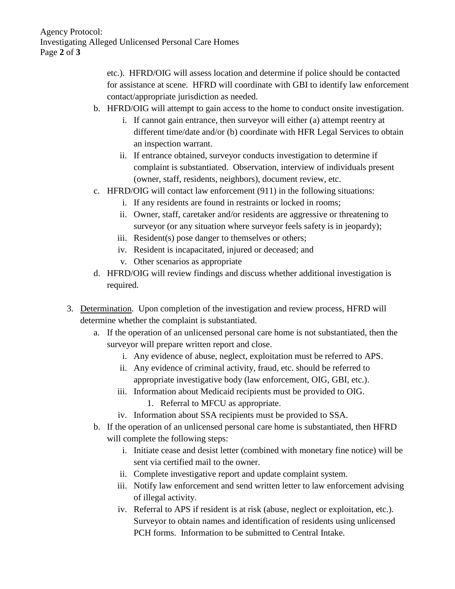etc.). HFRD/OIG will assess location and determine if police should be contacted for assistance at scene. HFRD will coordinate with GBI to identify law enforcement contact/appropriate jurisdiction as needed.

- b. HFRD/OIG will attempt to gain access to the home to conduct onsite investigation.
	- i. If cannot gain entrance, then surveyor will either (a) attempt reentry at different time/date and/or (b) coordinate with HFR Legal Services to obtain an inspection warrant.
	- ii. If entrance obtained, surveyor conducts investigation to determine if complaint is substantiated. Observation, interview of individuals present (owner, staff, residents, neighbors), document review, etc.
- c. HFRD/OIG will contact law enforcement (911) in the following situations:
	- i. If any residents are found in restraints or locked in rooms;
	- ii. Owner, staff, caretaker and/or residents are aggressive or threatening to surveyor (or any situation where surveyor feels safety is in jeopardy);
	- iii. Resident(s) pose danger to themselves or others;
	- iv. Resident is incapacitated, injured or deceased; and
	- v. Other scenarios as appropriate
- d. HFRD/OIG will review findings and discuss whether additional investigation is required.
- 3. Determination. Upon completion of the investigation and review process, HFRD will determine whether the complaint is substantiated.
	- a. If the operation of an unlicensed personal care home is not substantiated, then the surveyor will prepare written report and close.
		- i. Any evidence of abuse, neglect, exploitation must be referred to APS.
		- ii. Any evidence of criminal activity, fraud, etc. should be referred to appropriate investigative body (law enforcement, OIG, GBI, etc.).
		- iii. Information about Medicaid recipients must be provided to OIG.
			- 1. Referral to MFCU as appropriate.
		- iv. Information about SSA recipients must be provided to SSA.
	- b. If the operation of an unlicensed personal care home is substantiated, then HFRD will complete the following steps:
		- i. Initiate cease and desist letter (combined with monetary fine notice) will be sent via certified mail to the owner.
		- ii. Complete investigative report and update complaint system.
		- iii. Notify law enforcement and send written letter to law enforcement advising of illegal activity.
		- iv. Referral to APS if resident is at risk (abuse, neglect or exploitation, etc.). Surveyor to obtain names and identification of residents using unlicensed PCH forms. Information to be submitted to Central Intake.